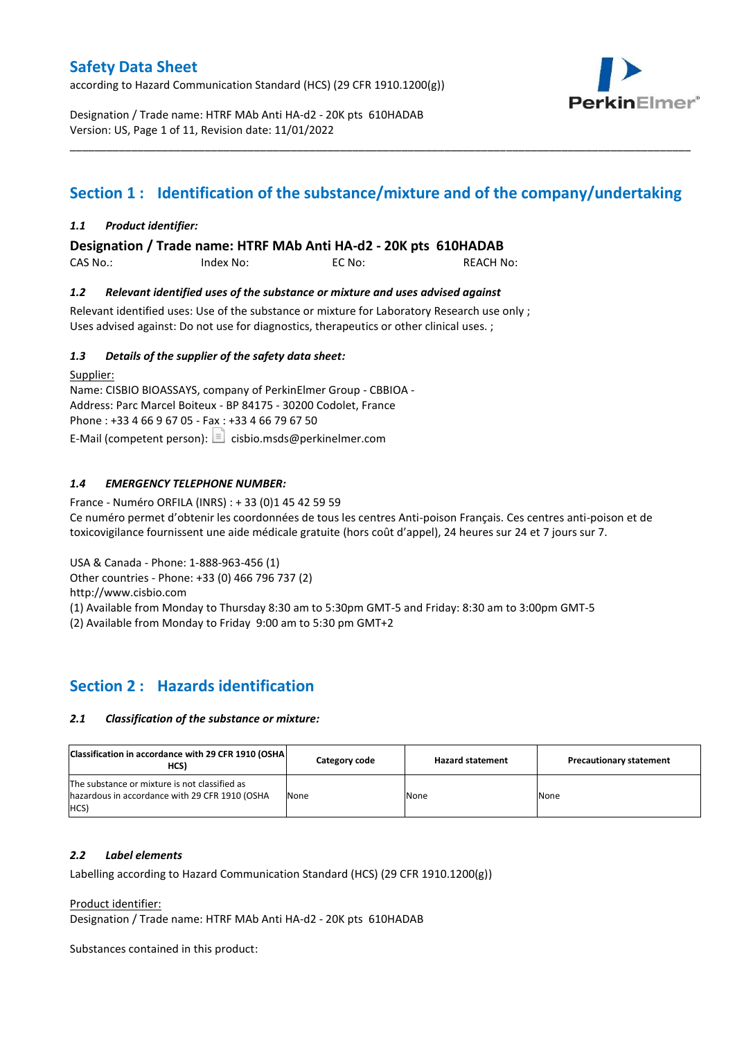according to Hazard Communication Standard (HCS) (29 CFR 1910.1200(g))



Designation / Trade name: HTRF MAb Anti HA-d2 - 20K pts 610HADAB Version: US, Page 1 of 11, Revision date: 11/01/2022

# **Section 1 : Identification of the substance/mixture and of the company/undertaking**

\_\_\_\_\_\_\_\_\_\_\_\_\_\_\_\_\_\_\_\_\_\_\_\_\_\_\_\_\_\_\_\_\_\_\_\_\_\_\_\_\_\_\_\_\_\_\_\_\_\_\_\_\_\_\_\_\_\_\_\_\_\_\_\_\_\_\_\_\_\_\_\_\_\_\_\_\_\_\_\_\_\_\_\_\_\_\_\_\_\_\_\_\_\_\_\_\_\_\_\_\_

### *1.1 Product identifier:*

**Designation / Trade name: HTRF MAb Anti HA-d2 - 20K pts 610HADAB** 

| CAS No.: | Index No: | EC No: | <b>REACH No:</b> |
|----------|-----------|--------|------------------|
|          |           |        |                  |

### *1.2 Relevant identified uses of the substance or mixture and uses advised against*

Relevant identified uses: Use of the substance or mixture for Laboratory Research use only ; Uses advised against: Do not use for diagnostics, therapeutics or other clinical uses. ;

### *1.3 Details of the supplier of the safety data sheet:*

Supplier: Name: CISBIO BIOASSAYS, company of PerkinElmer Group - CBBIOA - Address: Parc Marcel Boiteux - BP 84175 - 30200 Codolet, France Phone : +33 4 66 9 67 05 - Fax : +33 4 66 79 67 50 E-Mail (competent person):  $\boxed{\equiv}$  cisbio.msds@perkinelmer.com

### *1.4 EMERGENCY TELEPHONE NUMBER:*

France - Numéro ORFILA (INRS) : + 33 (0)1 45 42 59 59 Ce numéro permet d'obtenir les coordonnées de tous les centres Anti-poison Français. Ces centres anti-poison et de toxicovigilance fournissent une aide médicale gratuite (hors coût d'appel), 24 heures sur 24 et 7 jours sur 7.

USA & Canada - Phone: 1-888-963-456 (1)

Other countries - Phone: +33 (0) 466 796 737 (2)

http://www.cisbio.com

(1) Available from Monday to Thursday 8:30 am to 5:30pm GMT-5 and Friday: 8:30 am to 3:00pm GMT-5

(2) Available from Monday to Friday 9:00 am to 5:30 pm GMT+2

# **Section 2 : Hazards identification**

### *2.1 Classification of the substance or mixture:*

| Classification in accordance with 29 CFR 1910 (OSHA)<br>HCS)                                            | Category code | <b>Hazard statement</b> | <b>Precautionary statement</b> |
|---------------------------------------------------------------------------------------------------------|---------------|-------------------------|--------------------------------|
| The substance or mixture is not classified as<br>hazardous in accordance with 29 CFR 1910 (OSHA<br>HCS) | None          | None                    | None                           |

#### *2.2 Label elements*

Labelling according to Hazard Communication Standard (HCS) (29 CFR 1910.1200(g))

Product identifier:

Designation / Trade name: HTRF MAb Anti HA-d2 - 20K pts 610HADAB

Substances contained in this product: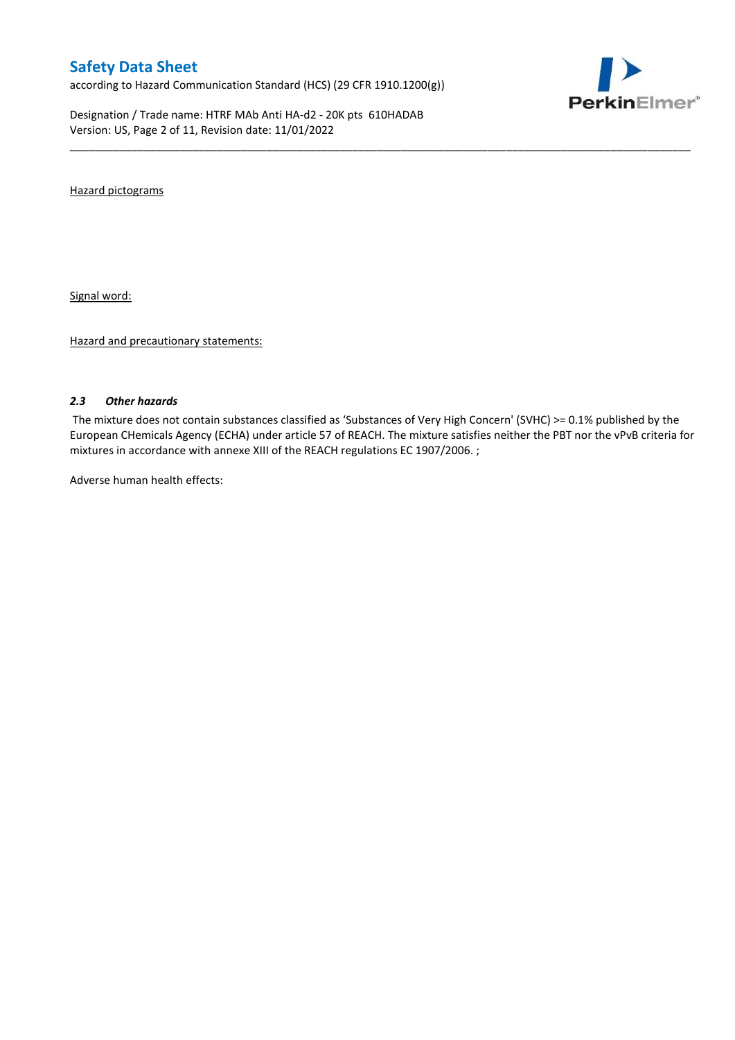according to Hazard Communication Standard (HCS) (29 CFR 1910.1200(g))

Designation / Trade name: HTRF MAb Anti HA-d2 - 20K pts 610HADAB Version: US, Page 2 of 11, Revision date: 11/01/2022



Hazard pictograms

Signal word:

Hazard and precautionary statements:

#### *2.3 Other hazards*

The mixture does not contain substances classified as 'Substances of Very High Concern' (SVHC) >= 0.1% published by the European CHemicals Agency (ECHA) under article 57 of REACH. The mixture satisfies neither the PBT nor the vPvB criteria for mixtures in accordance with annexe XIII of the REACH regulations EC 1907/2006. ;

\_\_\_\_\_\_\_\_\_\_\_\_\_\_\_\_\_\_\_\_\_\_\_\_\_\_\_\_\_\_\_\_\_\_\_\_\_\_\_\_\_\_\_\_\_\_\_\_\_\_\_\_\_\_\_\_\_\_\_\_\_\_\_\_\_\_\_\_\_\_\_\_\_\_\_\_\_\_\_\_\_\_\_\_\_\_\_\_\_\_\_\_\_\_\_\_\_\_\_\_\_

Adverse human health effects: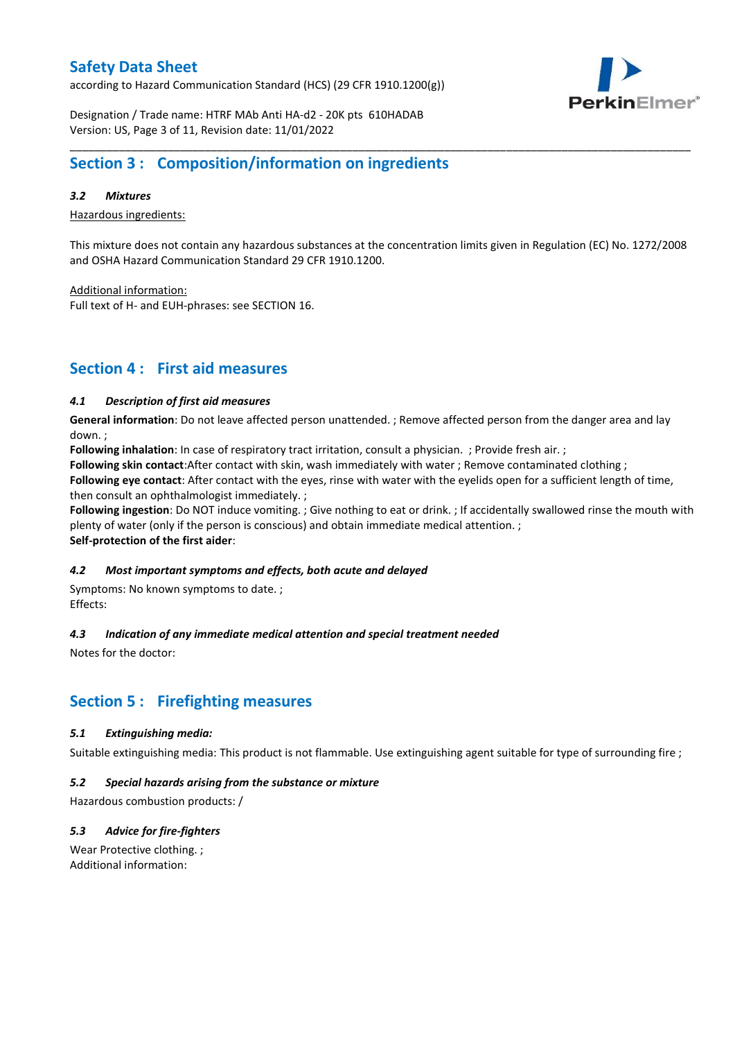according to Hazard Communication Standard (HCS) (29 CFR 1910.1200(g))



Designation / Trade name: HTRF MAb Anti HA-d2 - 20K pts 610HADAB Version: US, Page 3 of 11, Revision date: 11/01/2022

### **Section 3 : Composition/information on ingredients**

#### *3.2 Mixtures*

Hazardous ingredients:

This mixture does not contain any hazardous substances at the concentration limits given in Regulation (EC) No. 1272/2008 and OSHA Hazard Communication Standard 29 CFR 1910.1200.

\_\_\_\_\_\_\_\_\_\_\_\_\_\_\_\_\_\_\_\_\_\_\_\_\_\_\_\_\_\_\_\_\_\_\_\_\_\_\_\_\_\_\_\_\_\_\_\_\_\_\_\_\_\_\_\_\_\_\_\_\_\_\_\_\_\_\_\_\_\_\_\_\_\_\_\_\_\_\_\_\_\_\_\_\_\_\_\_\_\_\_\_\_\_\_\_\_\_\_\_\_

Additional information:

Full text of H- and EUH-phrases: see SECTION 16.

# **Section 4 : First aid measures**

#### *4.1 Description of first aid measures*

**General information**: Do not leave affected person unattended. ; Remove affected person from the danger area and lay down. ;

**Following inhalation**: In case of respiratory tract irritation, consult a physician. ; Provide fresh air. ;

**Following skin contact**:After contact with skin, wash immediately with water ; Remove contaminated clothing ;

**Following eye contact**: After contact with the eyes, rinse with water with the eyelids open for a sufficient length of time, then consult an ophthalmologist immediately. ;

**Following ingestion**: Do NOT induce vomiting. ; Give nothing to eat or drink. ; If accidentally swallowed rinse the mouth with plenty of water (only if the person is conscious) and obtain immediate medical attention. ; **Self-protection of the first aider**:

#### *4.2 Most important symptoms and effects, both acute and delayed*

Symptoms: No known symptoms to date. ; Effects:

### *4.3 Indication of any immediate medical attention and special treatment needed*

Notes for the doctor:

# **Section 5 : Firefighting measures**

### *5.1 Extinguishing media:*

Suitable extinguishing media: This product is not flammable. Use extinguishing agent suitable for type of surrounding fire ;

#### *5.2 Special hazards arising from the substance or mixture*

Hazardous combustion products: /

### *5.3 Advice for fire-fighters*

Wear Protective clothing. ; Additional information: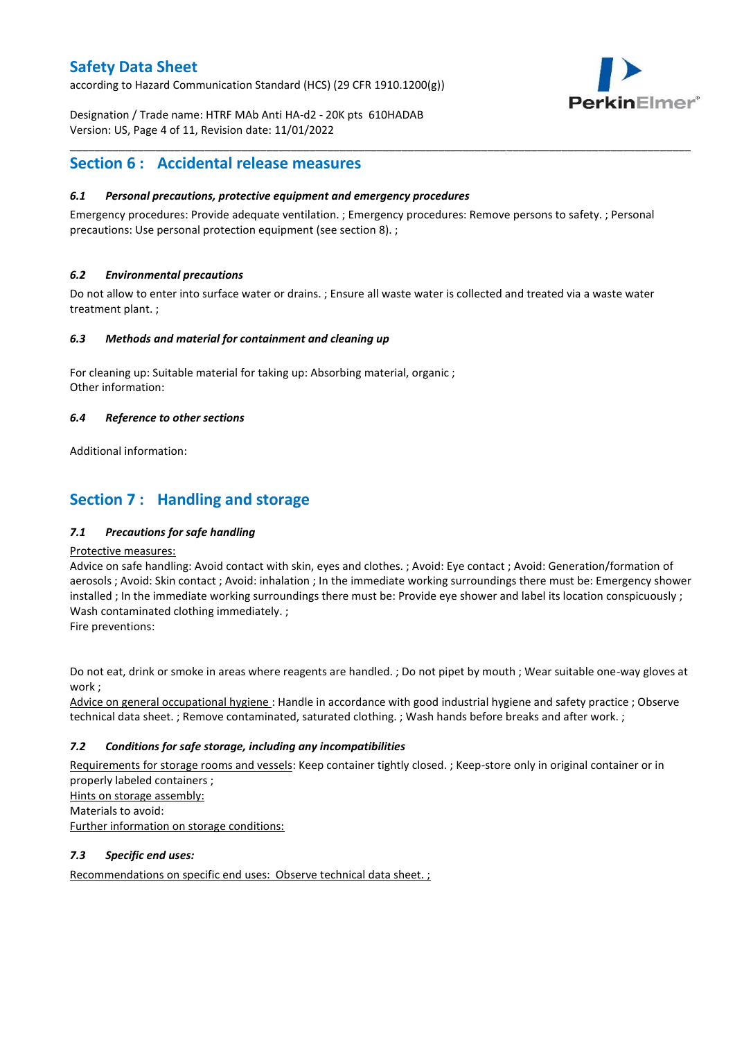according to Hazard Communication Standard (HCS) (29 CFR 1910.1200(g))



Designation / Trade name: HTRF MAb Anti HA-d2 - 20K pts 610HADAB Version: US, Page 4 of 11, Revision date: 11/01/2022

### **Section 6 : Accidental release measures**

### *6.1 Personal precautions, protective equipment and emergency procedures*

Emergency procedures: Provide adequate ventilation. ; Emergency procedures: Remove persons to safety. ; Personal precautions: Use personal protection equipment (see section 8). ;

\_\_\_\_\_\_\_\_\_\_\_\_\_\_\_\_\_\_\_\_\_\_\_\_\_\_\_\_\_\_\_\_\_\_\_\_\_\_\_\_\_\_\_\_\_\_\_\_\_\_\_\_\_\_\_\_\_\_\_\_\_\_\_\_\_\_\_\_\_\_\_\_\_\_\_\_\_\_\_\_\_\_\_\_\_\_\_\_\_\_\_\_\_\_\_\_\_\_\_\_\_

#### *6.2 Environmental precautions*

Do not allow to enter into surface water or drains. ; Ensure all waste water is collected and treated via a waste water treatment plant. ;

#### *6.3 Methods and material for containment and cleaning up*

For cleaning up: Suitable material for taking up: Absorbing material, organic ; Other information:

#### *6.4 Reference to other sections*

Additional information:

# **Section 7 : Handling and storage**

### *7.1 Precautions for safe handling*

#### Protective measures:

Advice on safe handling: Avoid contact with skin, eyes and clothes. ; Avoid: Eye contact ; Avoid: Generation/formation of aerosols ; Avoid: Skin contact ; Avoid: inhalation ; In the immediate working surroundings there must be: Emergency shower installed ; In the immediate working surroundings there must be: Provide eye shower and label its location conspicuously; Wash contaminated clothing immediately. ;

Fire preventions:

Do not eat, drink or smoke in areas where reagents are handled. ; Do not pipet by mouth ; Wear suitable one-way gloves at work ;

Advice on general occupational hygiene : Handle in accordance with good industrial hygiene and safety practice ; Observe technical data sheet. ; Remove contaminated, saturated clothing. ; Wash hands before breaks and after work. ;

### *7.2 Conditions for safe storage, including any incompatibilities*

Requirements for storage rooms and vessels: Keep container tightly closed. ; Keep-store only in original container or in properly labeled containers ; Hints on storage assembly: Materials to avoid:

Further information on storage conditions:

### *7.3 Specific end uses:*

Recommendations on specific end uses: Observe technical data sheet. ;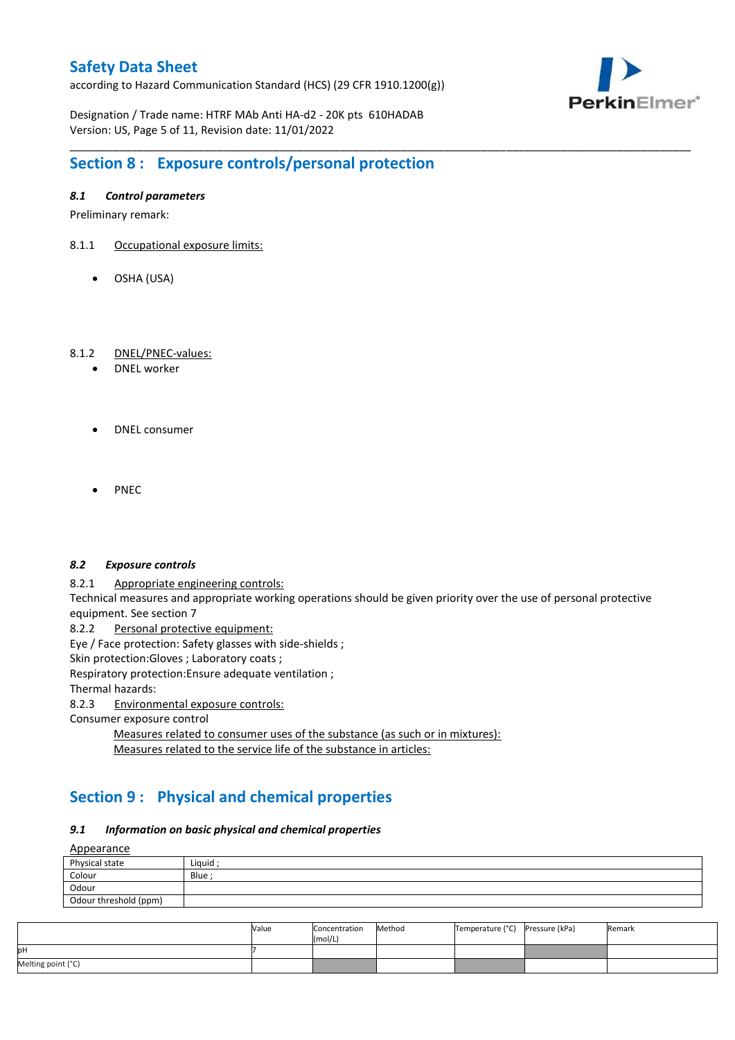according to Hazard Communication Standard (HCS) (29 CFR 1910.1200(g))



Designation / Trade name: HTRF MAb Anti HA-d2 - 20K pts 610HADAB Version: US, Page 5 of 11, Revision date: 11/01/2022

# **Section 8 : Exposure controls/personal protection**

#### *8.1 Control parameters*

Preliminary remark:

- 8.1.1 Occupational exposure limits:
	- OSHA (USA)

#### 8.1.2 DNEL/PNEC-values:

- DNEL worker
- DNEL consumer
- PNEC

#### *8.2 Exposure controls*

8.2.1 Appropriate engineering controls:

Technical measures and appropriate working operations should be given priority over the use of personal protective equipment. See section 7

\_\_\_\_\_\_\_\_\_\_\_\_\_\_\_\_\_\_\_\_\_\_\_\_\_\_\_\_\_\_\_\_\_\_\_\_\_\_\_\_\_\_\_\_\_\_\_\_\_\_\_\_\_\_\_\_\_\_\_\_\_\_\_\_\_\_\_\_\_\_\_\_\_\_\_\_\_\_\_\_\_\_\_\_\_\_\_\_\_\_\_\_\_\_\_\_\_\_\_\_\_

8.2.2 Personal protective equipment:

Eye / Face protection: Safety glasses with side-shields ;

Skin protection: Gloves ; Laboratory coats ;

Respiratory protection:Ensure adequate ventilation ;

Thermal hazards:

8.2.3 Environmental exposure controls:

Consumer exposure control

Measures related to consumer uses of the substance (as such or in mixtures): Measures related to the service life of the substance in articles:

# **Section 9 : Physical and chemical properties**

#### *9.1 Information on basic physical and chemical properties*

**A**ppearance

| <u>rippedrunce</u>    |        |
|-----------------------|--------|
| Physical state        | Liguid |
| Colour                | Blue ; |
| Odour                 |        |
| Odour threshold (ppm) |        |

|                    | Value | Concentration<br>(mol/L) | Method | Temperature (°C) Pressure (kPa) | Remark |
|--------------------|-------|--------------------------|--------|---------------------------------|--------|
| pН                 |       |                          |        |                                 |        |
| Melting point (°C) |       |                          |        |                                 |        |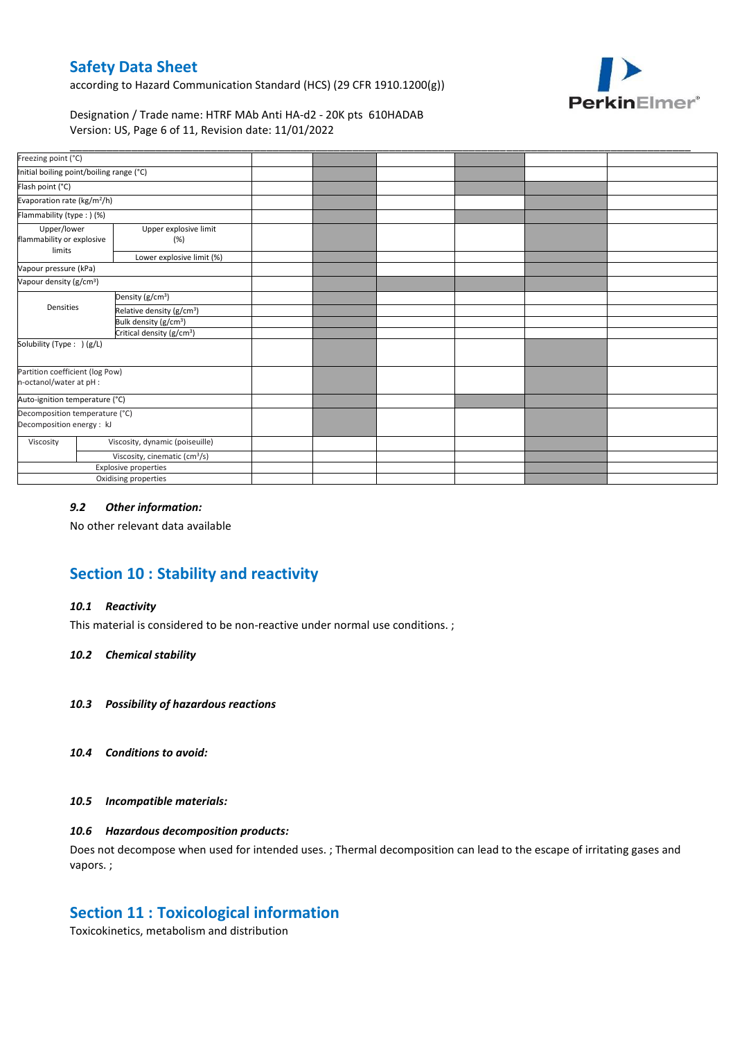according to Hazard Communication Standard (HCS) (29 CFR 1910.1200(g))



Designation / Trade name: HTRF MAb Anti HA-d2 - 20K pts 610HADAB Version: US, Page 6 of 11, Revision date: 11/01/2022

| Freezing point (°C)                                         |                              |                                           |  |  |  |
|-------------------------------------------------------------|------------------------------|-------------------------------------------|--|--|--|
| Initial boiling point/boiling range (°C)                    |                              |                                           |  |  |  |
| Flash point (°C)                                            |                              |                                           |  |  |  |
| Evaporation rate (kg/m <sup>2</sup> /h)                     |                              |                                           |  |  |  |
| Flammability (type:) (%)                                    |                              |                                           |  |  |  |
| Upper/lower<br>flammability or explosive<br>limits          | Upper explosive limit<br>(%) |                                           |  |  |  |
|                                                             |                              | Lower explosive limit (%)                 |  |  |  |
| Vapour pressure (kPa)                                       |                              |                                           |  |  |  |
| Vapour density (g/cm <sup>3</sup> )                         |                              |                                           |  |  |  |
|                                                             |                              | Density (g/cm <sup>3</sup> )              |  |  |  |
| Densities                                                   |                              | Relative density (g/cm <sup>3</sup> )     |  |  |  |
|                                                             |                              | Bulk density (g/cm <sup>3</sup> )         |  |  |  |
|                                                             |                              | Critical density (g/cm <sup>3</sup> )     |  |  |  |
| Solubility (Type: ) (g/L)                                   |                              |                                           |  |  |  |
| Partition coefficient (log Pow)<br>n-octanol/water at pH :  |                              |                                           |  |  |  |
| Auto-ignition temperature (°C)                              |                              |                                           |  |  |  |
| Decomposition temperature (°C)<br>Decomposition energy : kJ |                              |                                           |  |  |  |
| Viscosity                                                   |                              | Viscosity, dynamic (poiseuille)           |  |  |  |
|                                                             |                              | Viscosity, cinematic (cm <sup>3</sup> /s) |  |  |  |
|                                                             |                              | Explosive properties                      |  |  |  |
|                                                             |                              | Oxidising properties                      |  |  |  |

### *9.2 Other information:*

No other relevant data available

# **Section 10 : Stability and reactivity**

#### *10.1 Reactivity*

This material is considered to be non-reactive under normal use conditions. ;

#### *10.2 Chemical stability*

- *10.3 Possibility of hazardous reactions*
- *10.4 Conditions to avoid:*

#### *10.5 Incompatible materials:*

#### *10.6 Hazardous decomposition products:*

Does not decompose when used for intended uses. ; Thermal decomposition can lead to the escape of irritating gases and vapors. ;

### **Section 11 : Toxicological information**

Toxicokinetics, metabolism and distribution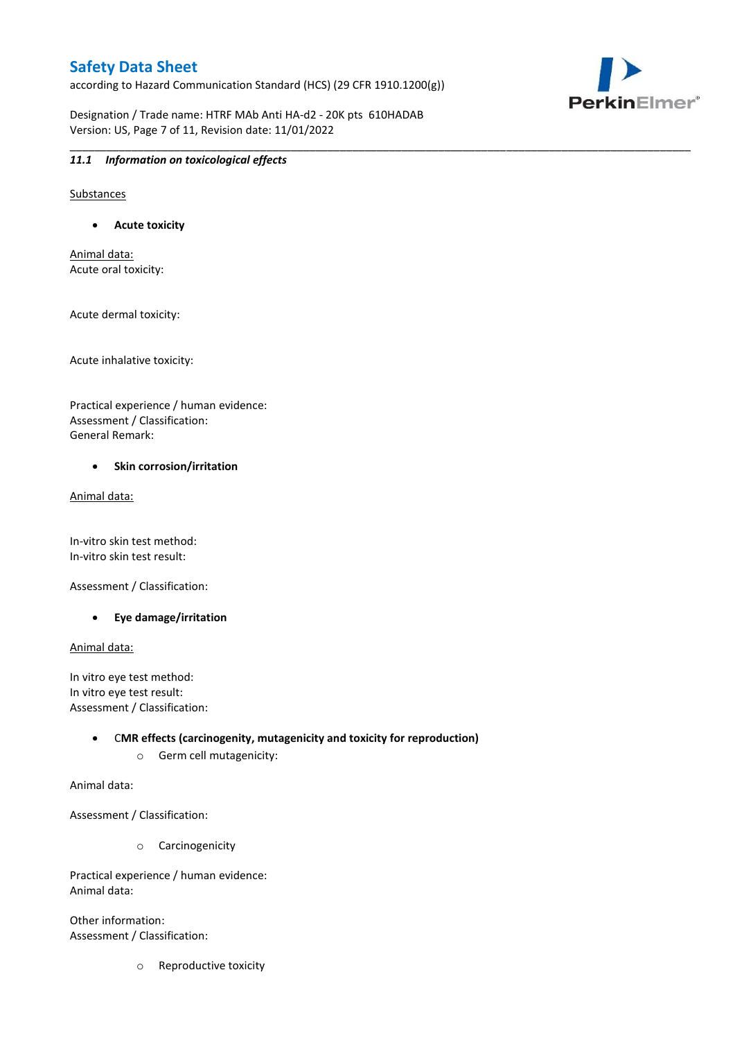according to Hazard Communication Standard (HCS) (29 CFR 1910.1200(g))

\_\_\_\_\_\_\_\_\_\_\_\_\_\_\_\_\_\_\_\_\_\_\_\_\_\_\_\_\_\_\_\_\_\_\_\_\_\_\_\_\_\_\_\_\_\_\_\_\_\_\_\_\_\_\_\_\_\_\_\_\_\_\_\_\_\_\_\_\_\_\_\_\_\_\_\_\_\_\_\_\_\_\_\_\_\_\_\_\_\_\_\_\_\_\_\_\_\_\_\_\_

Designation / Trade name: HTRF MAb Anti HA-d2 - 20K pts 610HADAB Version: US, Page 7 of 11, Revision date: 11/01/2022



#### *11.1 Information on toxicological effects*

Substances

**Acute toxicity**

Animal data: Acute oral toxicity:

Acute dermal toxicity:

Acute inhalative toxicity:

Practical experience / human evidence: Assessment / Classification: General Remark:

#### **•** Skin corrosion/irritation

Animal data:

In-vitro skin test method: In-vitro skin test result:

Assessment / Classification:

**Eye damage/irritation**

Animal data:

In vitro eye test method: In vitro eye test result: Assessment / Classification:

> C**MR effects (carcinogenity, mutagenicity and toxicity for reproduction)** o Germ cell mutagenicity:

Animal data:

Assessment / Classification:

o Carcinogenicity

Practical experience / human evidence: Animal data:

Other information: Assessment / Classification:

o Reproductive toxicity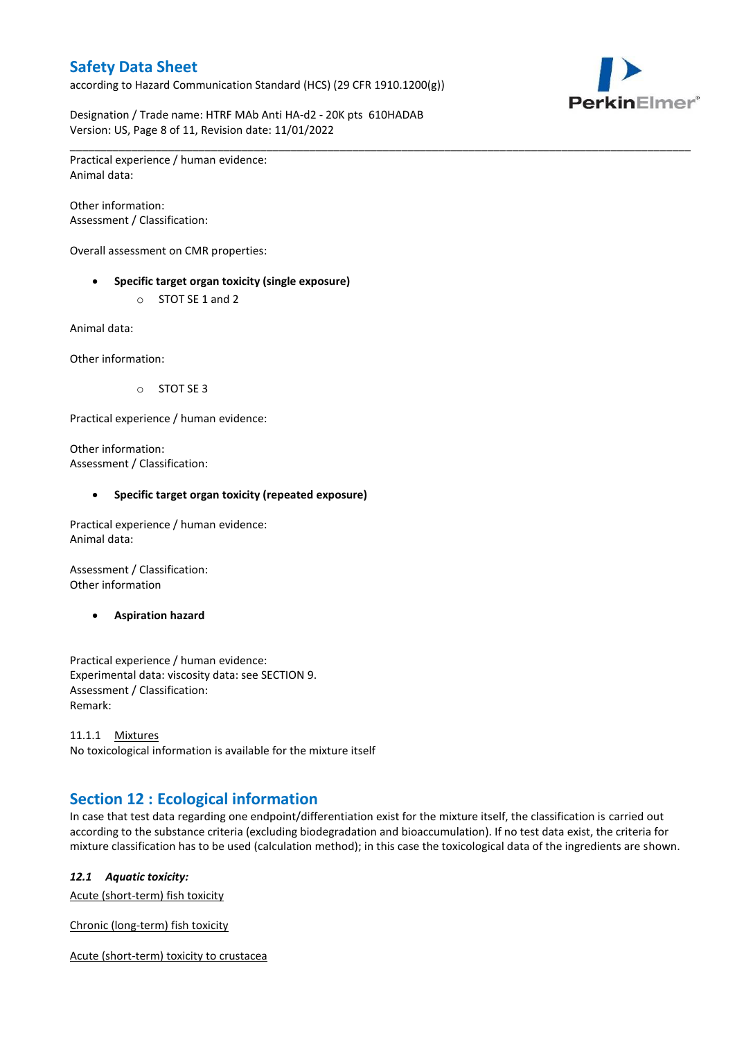according to Hazard Communication Standard (HCS) (29 CFR 1910.1200(g))



Designation / Trade name: HTRF MAb Anti HA-d2 - 20K pts 610HADAB Version: US, Page 8 of 11, Revision date: 11/01/2022

\_\_\_\_\_\_\_\_\_\_\_\_\_\_\_\_\_\_\_\_\_\_\_\_\_\_\_\_\_\_\_\_\_\_\_\_\_\_\_\_\_\_\_\_\_\_\_\_\_\_\_\_\_\_\_\_\_\_\_\_\_\_\_\_\_\_\_\_\_\_\_\_\_\_\_\_\_\_\_\_\_\_\_\_\_\_\_\_\_\_\_\_\_\_\_\_\_\_\_\_\_ Practical experience / human evidence: Animal data:

Other information: Assessment / Classification:

Overall assessment on CMR properties:

- **Specific target organ toxicity (single exposure)**
	- o STOT SE 1 and 2

Animal data:

Other information:

o STOT SE 3

Practical experience / human evidence:

Other information: Assessment / Classification:

#### **Specific target organ toxicity (repeated exposure)**

Practical experience / human evidence: Animal data:

Assessment / Classification: Other information

**Aspiration hazard**

Practical experience / human evidence: Experimental data: viscosity data: see SECTION 9. Assessment / Classification: Remark:

11.1.1 Mixtures No toxicological information is available for the mixture itself

# **Section 12 : Ecological information**

In case that test data regarding one endpoint/differentiation exist for the mixture itself, the classification is carried out according to the substance criteria (excluding biodegradation and bioaccumulation). If no test data exist, the criteria for mixture classification has to be used (calculation method); in this case the toxicological data of the ingredients are shown.

#### *12.1 Aquatic toxicity:*

Acute (short-term) fish toxicity

Chronic (long-term) fish toxicity

Acute (short-term) toxicity to crustacea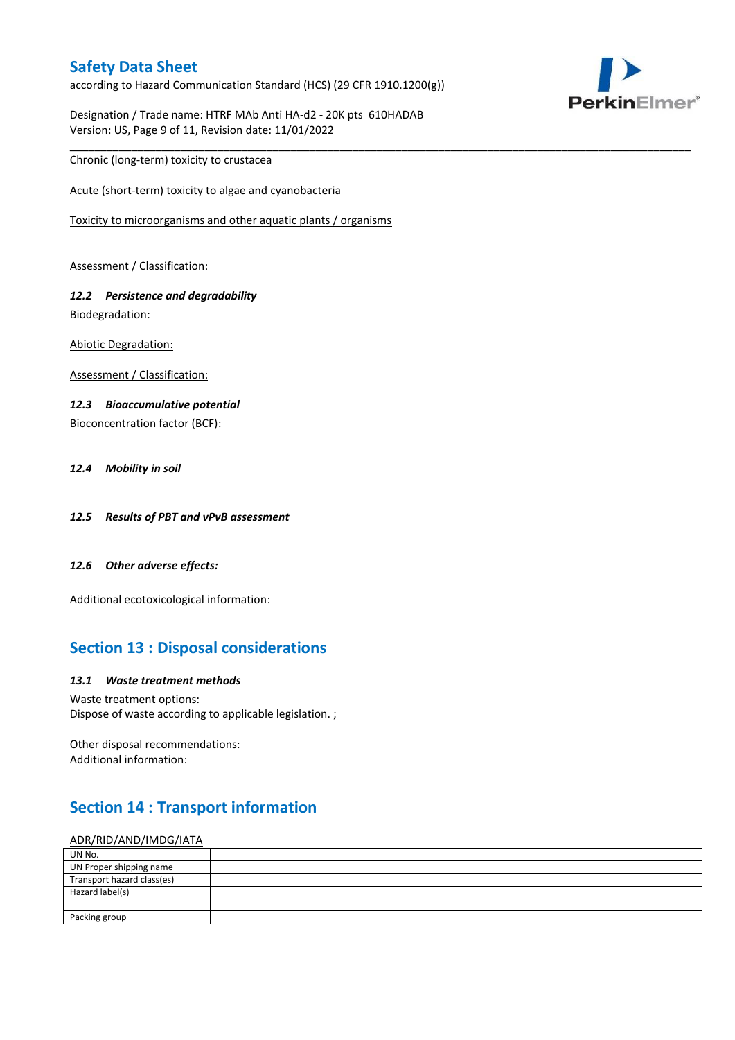according to Hazard Communication Standard (HCS) (29 CFR 1910.1200(g))

\_\_\_\_\_\_\_\_\_\_\_\_\_\_\_\_\_\_\_\_\_\_\_\_\_\_\_\_\_\_\_\_\_\_\_\_\_\_\_\_\_\_\_\_\_\_\_\_\_\_\_\_\_\_\_\_\_\_\_\_\_\_\_\_\_\_\_\_\_\_\_\_\_\_\_\_\_\_\_\_\_\_\_\_\_\_\_\_\_\_\_\_\_\_\_\_\_\_\_\_\_



Designation / Trade name: HTRF MAb Anti HA-d2 - 20K pts 610HADAB Version: US, Page 9 of 11, Revision date: 11/01/2022

### Chronic (long-term) toxicity to crustacea

Acute (short-term) toxicity to algae and cyanobacteria

Toxicity to microorganisms and other aquatic plants / organisms

Assessment / Classification:

### *12.2 Persistence and degradability* Biodegradation:

Abiotic Degradation:

Assessment / Classification:

#### *12.3 Bioaccumulative potential*

Bioconcentration factor (BCF):

#### *12.4 Mobility in soil*

- *12.5 Results of PBT and vPvB assessment*
- *12.6 Other adverse effects:*

Additional ecotoxicological information:

# **Section 13 : Disposal considerations**

#### *13.1 Waste treatment methods*

Waste treatment options: Dispose of waste according to applicable legislation. ;

Other disposal recommendations: Additional information:

# **Section 14 : Transport information**

#### ADR/RID/AND/IMDG/IATA

| UN No.                     |  |
|----------------------------|--|
| UN Proper shipping name    |  |
| Transport hazard class(es) |  |
| Hazard label(s)            |  |
|                            |  |
| Packing group              |  |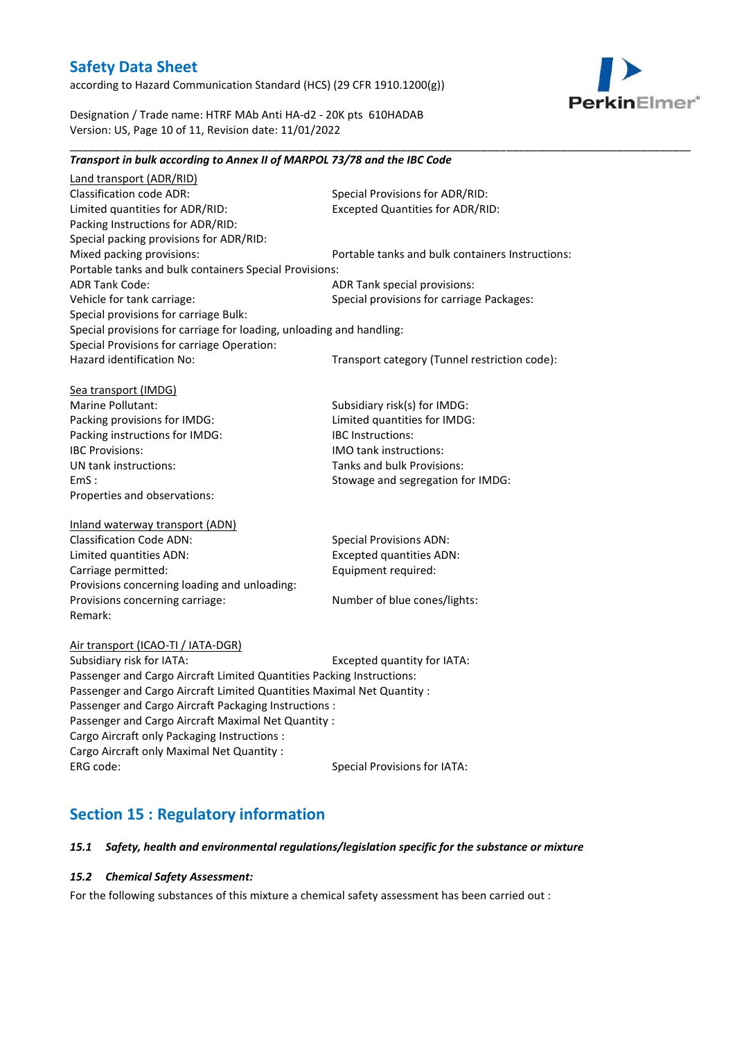according to Hazard Communication Standard (HCS) (29 CFR 1910.1200(g))



Designation / Trade name: HTRF MAb Anti HA-d2 - 20K pts 610HADAB Version: US, Page 10 of 11, Revision date: 11/01/2022

### *Transport in bulk according to Annex II of MARPOL 73/78 and the IBC Code* Land transport (ADR/RID) Classification code ADR: Special Provisions for ADR/RID:<br>
Limited quantities for ADR/RID: Excepted Quantities for ADR/RI Excepted Quantities for ADR/RID: Packing Instructions for ADR/RID: Special packing provisions for ADR/RID: Mixed packing provisions: Portable tanks and bulk containers Instructions: Portable tanks and bulk containers Special Provisions: ADR Tank Code: ADR Tank special provisions: Vehicle for tank carriage:  $S$  Special provisions for carriage Packages: Special provisions for carriage Bulk: Special provisions for carriage for loading, unloading and handling: Special Provisions for carriage Operation: Hazard identification No: Transport category (Tunnel restriction code): Sea transport (IMDG) Marine Pollutant: Subsidiary risk(s) for IMDG: Packing provisions for IMDG: Limited quantities for IMDG: Packing instructions for IMDG: IBC Instructions: IBC Provisions: IMO tank instructions: UN tank instructions: Tanks and bulk Provisions: EmS : Stowage and segregation for IMDG: Properties and observations: Inland waterway transport (ADN) Classification Code ADN: Special Provisions ADN: Limited quantities ADN: Excepted quantities ADN: Carriage permitted: Carriage permitted: Provisions concerning loading and unloading: Provisions concerning carriage: Number of blue cones/lights: Remark: Air transport (ICAO-TI / IATA-DGR) Subsidiary risk for IATA: Excepted quantity for IATA: Passenger and Cargo Aircraft Limited Quantities Packing Instructions: Passenger and Cargo Aircraft Limited Quantities Maximal Net Quantity : Passenger and Cargo Aircraft Packaging Instructions : Passenger and Cargo Aircraft Maximal Net Quantity : Cargo Aircraft only Packaging Instructions : Cargo Aircraft only Maximal Net Quantity : ERG code: Special Provisions for IATA:

\_\_\_\_\_\_\_\_\_\_\_\_\_\_\_\_\_\_\_\_\_\_\_\_\_\_\_\_\_\_\_\_\_\_\_\_\_\_\_\_\_\_\_\_\_\_\_\_\_\_\_\_\_\_\_\_\_\_\_\_\_\_\_\_\_\_\_\_\_\_\_\_\_\_\_\_\_\_\_\_\_\_\_\_\_\_\_\_\_\_\_\_\_\_\_\_\_\_\_\_\_

# *15.1 Safety, health and environmental regulations/legislation specific for the substance or mixture*

### *15.2 Chemical Safety Assessment:*

**Section 15 : Regulatory information**

For the following substances of this mixture a chemical safety assessment has been carried out :